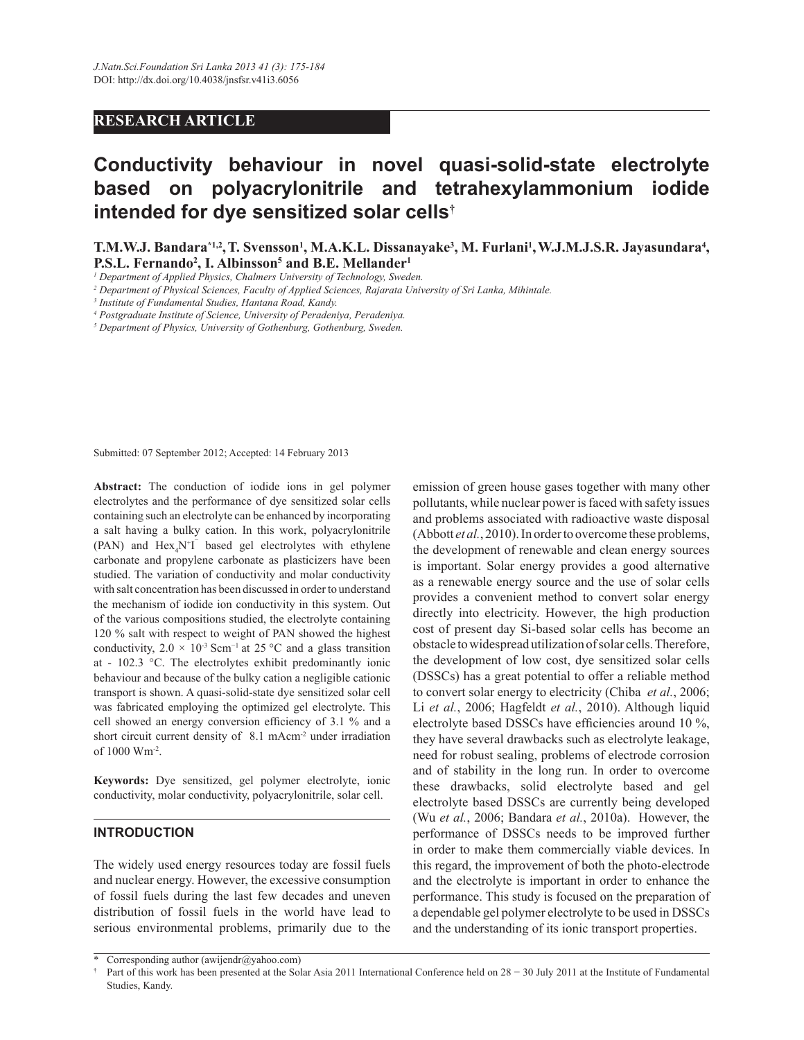## **RESEARCH ARTICLE**

# **Conductivity behaviour in novel quasi-solid-state electrolyte based on polyacrylonitrile and tetrahexylammonium iodide intended for dye sensitized solar cells†**

**T.M.W.J. Bandara\*1,2 ,T. Svensson<sup>1</sup> , M.A.K.L. Dissanayake<sup>3</sup> , M. Furlani<sup>1</sup> ,W.J.M.J.S.R. Jayasundara<sup>4</sup> , P.S.L. Fernando<sup>2</sup> , I. Albinsson<sup>5</sup> and B.E. Mellander<sup>1</sup>**

<sup>1</sup> Department of Applied Physics, Chalmers University of Technology, Sweden.

*2 Department of Physical Sciences, Faculty of Applied Sciences, Rajarata University of Sri Lanka, Mihintale.*

*3 Institute of Fundamental Studies, Hantana Road, Kandy.*

*4 Postgraduate Institute of Science, University of Peradeniya, Peradeniya.*

*5 Department of Physics, University of Gothenburg, Gothenburg, Sweden.*

Submitted: 07 September 2012; Accepted: 14 February 2013

**Abstract:** The conduction of iodide ions in gel polymer electrolytes and the performance of dye sensitized solar cells containing such an electrolyte can be enhanced by incorporating a salt having a bulky cation. In this work, polyacrylonitrile (PAN) and  $Hex_4N^+I^-$  based gel electrolytes with ethylene carbonate and propylene carbonate as plasticizers have been studied. The variation of conductivity and molar conductivity with salt concentration has been discussed in order to understand the mechanism of iodide ion conductivity in this system. Out of the various compositions studied, the electrolyte containing 120 % salt with respect to weight of PAN showed the highest conductivity,  $2.0 \times 10^{-3}$  Scm<sup>-1</sup> at 25 °C and a glass transition at - 102.3 °C. The electrolytes exhibit predominantly ionic behaviour and because of the bulky cation a negligible cationic transport is shown. A quasi-solid-state dye sensitized solar cell was fabricated employing the optimized gel electrolyte. This cell showed an energy conversion efficiency of 3.1 % and a short circuit current density of 8.1 mAcm<sup>-2</sup> under irradiation of 1000 Wm-2 .

**Keywords:** Dye sensitized, gel polymer electrolyte, ionic conductivity, molar conductivity, polyacrylonitrile, solar cell.

## **INTRODUCTION**

The widely used energy resources today are fossil fuels and nuclear energy. However, the excessive consumption of fossil fuels during the last few decades and uneven distribution of fossil fuels in the world have lead to serious environmental problems, primarily due to the emission of green house gases together with many other pollutants, while nuclear power is faced with safety issues and problems associated with radioactive waste disposal (Abbott *et al.*, 2010). In order to overcome these problems, the development of renewable and clean energy sources is important. Solar energy provides a good alternative as a renewable energy source and the use of solar cells provides a convenient method to convert solar energy directly into electricity. However, the high production cost of present day Si-based solar cells has become an obstacle to widespread utilization of solar cells. Therefore, the development of low cost, dye sensitized solar cells (DSSCs) has a great potential to offer a reliable method to convert solar energy to electricity (Chiba *et al.*, 2006; Li *et al.*, 2006; Hagfeldt *et al.*, 2010). Although liquid electrolyte based DSSCs have efficiencies around 10 %, they have several drawbacks such as electrolyte leakage, need for robust sealing, problems of electrode corrosion and of stability in the long run. In order to overcome these drawbacks, solid electrolyte based and gel electrolyte based DSSCs are currently being developed (Wu *et al.*, 2006; Bandara *et al.*, 2010a). However, the performance of DSSCs needs to be improved further in order to make them commercially viable devices. In this regard, the improvement of both the photo-electrode and the electrolyte is important in order to enhance the performance. This study is focused on the preparation of a dependable gel polymer electrolyte to be used in DSSCs and the understanding of its ionic transport properties.

<sup>\*</sup> Corresponding author (awijendr@yahoo.com)

<sup>†</sup> Part of this work has been presented at the Solar Asia 2011 International Conference held on 28 − 30 July 2011 at the Institute of Fundamental Studies, Kandy.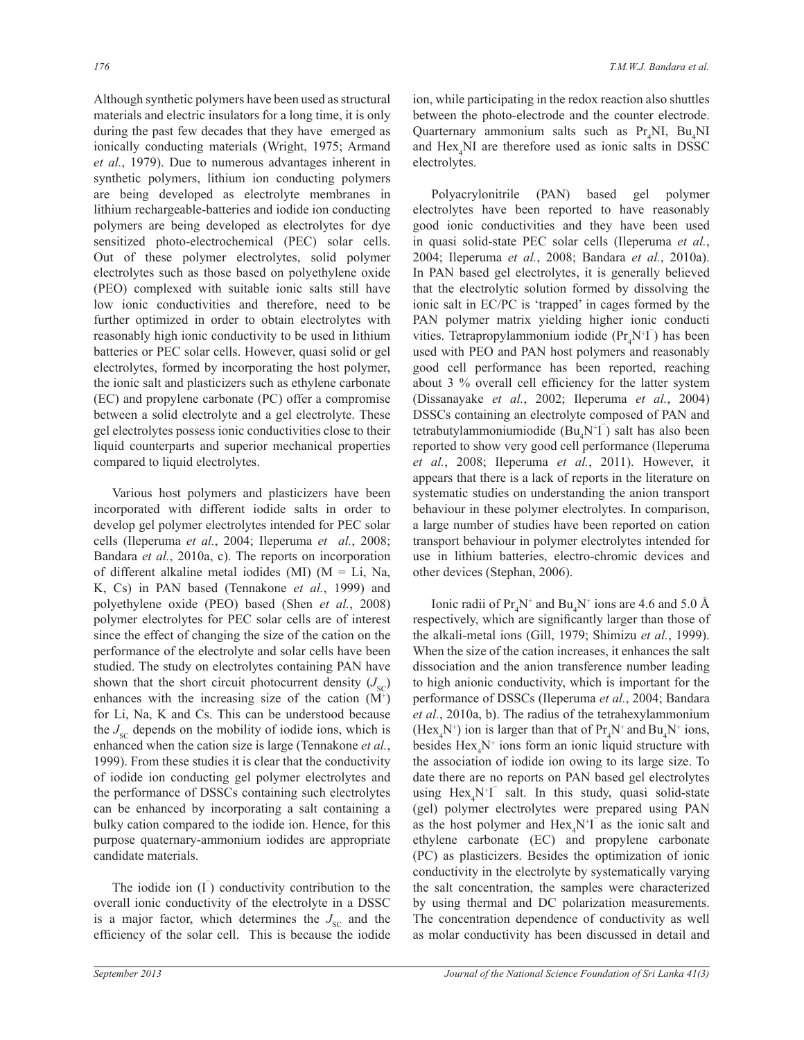Although synthetic polymers have been used as structural materials and electric insulators for a long time, it is only during the past few decades that they have emerged as ionically conducting materials (Wright, 1975; Armand *et al.*, 1979). Due to numerous advantages inherent in synthetic polymers, lithium ion conducting polymers are being developed as electrolyte membranes in lithium rechargeable-batteries and iodide ion conducting polymers are being developed as electrolytes for dye sensitized photo-electrochemical (PEC) solar cells. Out of these polymer electrolytes, solid polymer electrolytes such as those based on polyethylene oxide (PEO) complexed with suitable ionic salts still have low ionic conductivities and therefore, need to be further optimized in order to obtain electrolytes with reasonably high ionic conductivity to be used in lithium batteries or PEC solar cells. However, quasi solid or gel electrolytes, formed by incorporating the host polymer, the ionic salt and plasticizers such as ethylene carbonate (EC) and propylene carbonate (PC) offer a compromise between a solid electrolyte and a gel electrolyte. These gel electrolytes possess ionic conductivities close to their liquid counterparts and superior mechanical properties compared to liquid electrolytes.

 Various host polymers and plasticizers have been incorporated with different iodide salts in order to develop gel polymer electrolytes intended for PEC solar cells (Ileperuma *et al.*, 2004; Ileperuma *et al.*, 2008; Bandara *et al.*, 2010a, c). The reports on incorporation of different alkaline metal iodides (MI) ( $M = Li$ , Na, K, Cs) in PAN based (Tennakone *et al.*, 1999) and polyethylene oxide (PEO) based (Shen *et al.*, 2008) polymer electrolytes for PEC solar cells are of interest since the effect of changing the size of the cation on the performance of the electrolyte and solar cells have been studied. The study on electrolytes containing PAN have shown that the short circuit photocurrent density  $(J_{\rm sc})$ enhances with the increasing size of the cation  $(M<sup>+</sup>)$ for Li, Na, K and Cs. This can be understood because the  $J_{\rm sc}$  depends on the mobility of iodide ions, which is enhanced when the cation size is large (Tennakone *et al.*, 1999). From these studies it is clear that the conductivity of iodide ion conducting gel polymer electrolytes and the performance of DSSCs containing such electrolytes can be enhanced by incorporating a salt containing a bulky cation compared to the iodide ion. Hence, for this purpose quaternary-ammonium iodides are appropriate candidate materials.

The iodide ion  $(I<sup>T</sup>)$  conductivity contribution to the overall ionic conductivity of the electrolyte in a DSSC is a major factor, which determines the  $J_{\rm sc}$  and the efficiency of the solar cell. This is because the iodide

ion, while participating in the redox reaction also shuttles between the photo-electrode and the counter electrode. Quarternary ammonium salts such as Pr<sub>a</sub>NI, Bu<sub>a</sub>NI and  $Hex<sub>A</sub>NI$  are therefore used as ionic salts in DSSC electrolytes.

 Polyacrylonitrile (PAN) based gel polymer electrolytes have been reported to have reasonably good ionic conductivities and they have been used in quasi solid-state PEC solar cells (Ileperuma *et al.*, 2004; Ileperuma *et al.*, 2008; Bandara *et al.*, 2010a). In PAN based gel electrolytes, it is generally believed that the electrolytic solution formed by dissolving the ionic salt in EC/PC is 'trapped' in cages formed by the PAN polymer matrix yielding higher ionic conducti vities. Tetrapropylammonium iodide  $(\Pr_4 N^+ \Gamma)$  has been used with PEO and PAN host polymers and reasonably good cell performance has been reported, reaching about 3 % overall cell efficiency for the latter system (Dissanayake *et al.*, 2002; Ileperuma *et al.*, 2004) DSSCs containing an electrolyte composed of PAN and tetrabutylammoniumiodide  $(Bu_4N^{\dagger}I)$  salt has also been reported to show very good cell performance (Ileperuma *et al.*, 2008; Ileperuma *et al.*, 2011). However, it appears that there is a lack of reports in the literature on systematic studies on understanding the anion transport behaviour in these polymer electrolytes. In comparison, a large number of studies have been reported on cation transport behaviour in polymer electrolytes intended for use in lithium batteries, electro-chromic devices and other devices (Stephan, 2006).

Ionic radii of  $Pr_4N^+$  and  $Bu_4N^+$  ions are 4.6 and 5.0 Å respectively, which are significantly larger than those of the alkali-metal ions (Gill, 1979; Shimizu *et al.*, 1999). When the size of the cation increases, it enhances the salt dissociation and the anion transference number leading to high anionic conductivity, which is important for the performance of DSSCs (Ileperuma *et al.*, 2004; Bandara *et al.*, 2010a, b). The radius of the tetrahexylammonium (Hex<sub>4</sub>N<sup>+</sup>) ion is larger than that of  $Pr_4N^+$  and  $Bu_4N^+$  ions, besides  $\text{Hex}_4\text{N}^+$  ions form an ionic liquid structure with the association of iodide ion owing to its large size. To date there are no reports on PAN based gel electrolytes using  $Hex_4N^+I^-$  salt. In this study, quasi solid-state (gel) polymer electrolytes were prepared using PAN as the host polymer and  $Hex<sub>4</sub>N<sup>+</sup>T$  as the ionic salt and ethylene carbonate (EC) and propylene carbonate (PC) as plasticizers. Besides the optimization of ionic conductivity in the electrolyte by systematically varying the salt concentration, the samples were characterized by using thermal and DC polarization measurements. The concentration dependence of conductivity as well as molar conductivity has been discussed in detail and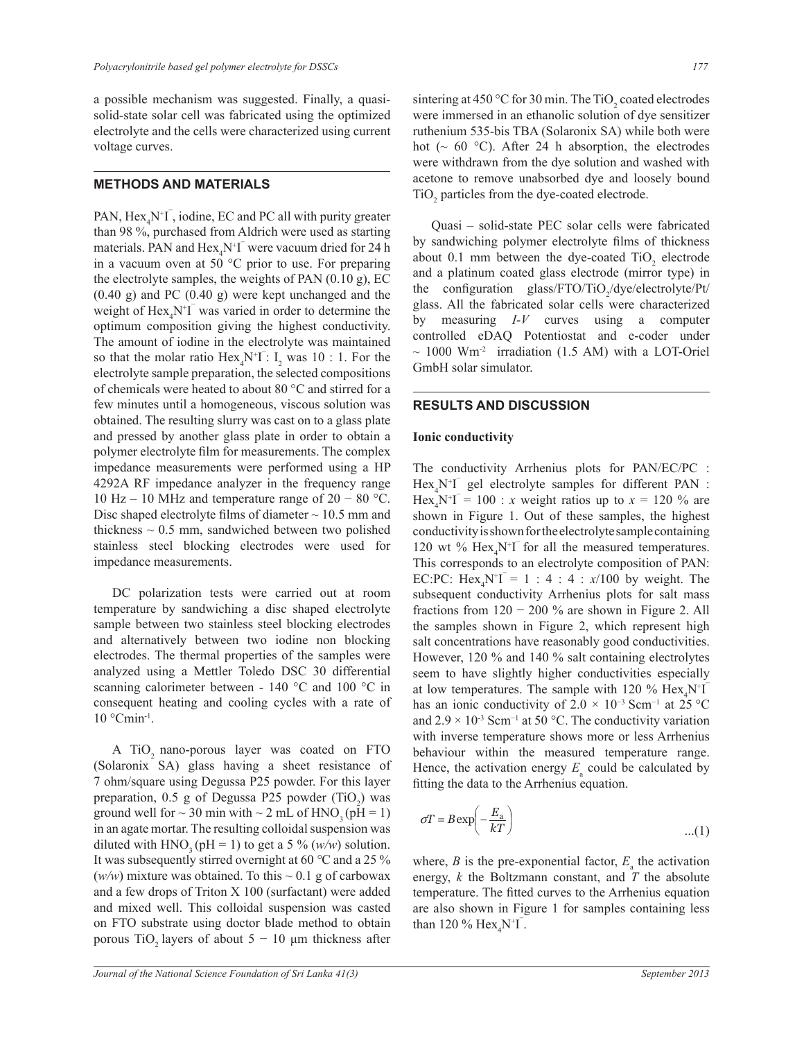a possible mechanism was suggested. Finally, a quasisolid-state solar cell was fabricated using the optimized electrolyte and the cells were characterized using current voltage curves.

#### **METHODS AND MATERIALS**

PAN,  $Hex_4N^+I$ , iodine, EC and PC all with purity greater than 98 %, purchased from Aldrich were used as starting materials. PAN and  $\text{Hex}_4\text{N}^+\text{I}^-$  were vacuum dried for 24 h in a vacuum oven at 50 °C prior to use. For preparing the electrolyte samples, the weights of PAN (0.10 g), EC (0.40 g) and PC (0.40 g) were kept unchanged and the weight of  $\text{Hex}_4\text{N}^+ \text{I}$  was varied in order to determine the optimum composition giving the highest conductivity. The amount of iodine in the electrolyte was maintained so that the molar ratio  $Hex_4N^+I^-: I_2$  was 10 : 1. For the electrolyte sample preparation, the selected compositions of chemicals were heated to about 80 °C and stirred for a few minutes until a homogeneous, viscous solution was obtained. The resulting slurry was cast on to a glass plate and pressed by another glass plate in order to obtain a polymer electrolyte film for measurements. The complex impedance measurements were performed using a HP 4292A RF impedance analyzer in the frequency range 10 Hz – 10 MHz and temperature range of 20 − 80 °C. Disc shaped electrolyte films of diameter  $\sim$  10.5 mm and thickness  $\sim 0.5$  mm, sandwiched between two polished stainless steel blocking electrodes were used for impedance measurements.

 DC polarization tests were carried out at room temperature by sandwiching a disc shaped electrolyte sample between two stainless steel blocking electrodes and alternatively between two iodine non blocking electrodes. The thermal properties of the samples were analyzed using a Mettler Toledo DSC 30 differential scanning calorimeter between - 140 °C and 100 °C in consequent heating and cooling cycles with a rate of 10 °Cmin-1 .

A TiO<sub>2</sub> nano-porous layer was coated on FTO (Solaronix SA) glass having a sheet resistance of 7 ohm/square using Degussa P25 powder. For this layer preparation,  $0.5$  g of Degussa P25 powder  $(TiO<sub>2</sub>)$  was ground well for  $\sim$  30 min with  $\sim$  2 mL of HNO<sub>3</sub> (pH = 1) in an agate mortar. The resulting colloidal suspension was diluted with HNO<sub>3</sub> (pH = 1) to get a 5 % ( $w/w$ ) solution. It was subsequently stirred overnight at 60 *°*C and a 25 %  $(w/w)$  mixture was obtained. To this  $\sim 0.1$  g of carbowax and a few drops of Triton X 100 (surfactant) were added and mixed well. This colloidal suspension was casted on FTO substrate using doctor blade method to obtain porous TiO<sub>2</sub> layers of about  $5 - 10 \mu$ m thickness after

sintering at 450 °C for 30 min. The TiO<sub>2</sub> coated electrodes were immersed in an ethanolic solution of dye sensitizer ruthenium 535-bis TBA (Solaronix SA) while both were hot ( $\sim$  60 °C). After 24 h absorption, the electrodes were withdrawn from the dye solution and washed with acetone to remove unabsorbed dye and loosely bound TiO<sub>2</sub> particles from the dye-coated electrode.

 Quasi – solid-state PEC solar cells were fabricated by sandwiching polymer electrolyte films of thickness about 0.1 mm between the dye-coated  $TiO<sub>2</sub>$  electrode and a platinum coated glass electrode (mirror type) in the configuration glass/FTO/TiO<sub>2</sub>/dye/electrolyte/Pt/ glass. All the fabricated solar cells were characterized by measuring *I-V* curves using a computer controlled eDAQ Potentiostat and e-coder under  $\sim$  1000 Wm<sup>-2</sup> irradiation (1.5 AM) with a LOT-Oriel GmbH solar simulator.

#### **RESULTS AND DISCUSSION**

#### **Ionic conductivity**

The conductivity Arrhenius plots for PAN/EC/PC :  $Hex_4N^+I$  gel electrolyte samples for different PAN : Hex<sub>4</sub>N<sup>+</sup>I<sup> $= 100$ </sup> : *x* weight ratios up to  $x = 120$  % are shown in Figure 1. Out of these samples, the highest conductivity is shown for the electrolyte sample containing 120 wt %  $\text{Hex}_4\text{N}^+ \text{I}$  for all the measured temperatures. This corresponds to an electrolyte composition of PAN: EC:PC: Hex<sub>4</sub>N<sup>+</sup>I<sup> $= 1 : 4 : 4 : x/100$  by weight. The</sup> subsequent conductivity Arrhenius plots for salt mass fractions from  $120 - 200$  % are shown in Figure 2. All the samples shown in Figure 2, which represent high salt concentrations have reasonably good conductivities. However, 120 % and 140 % salt containing electrolytes seem to have slightly higher conductivities especially at low temperatures. The sample with 120 %  $\text{Hex}_4\text{N}^+$ has an ionic conductivity of  $2.0 \times 10^{-3}$  Scm<sup>-1</sup> at 25 °C and  $2.9 \times 10^{-3}$  Scm<sup>-1</sup> at 50 °C. The conductivity variation with inverse temperature shows more or less Arrhenius behaviour within the measured temperature range. Hence, the activation energy  $E_a$  could be calculated by fitting the data to the Arrhenius equation.

$$
\sigma T = B \exp\left(-\frac{E_a}{kT}\right) \tag{1}
$$

temperature. The fitted curves to the Arrhenius equation where,  $B$  is the pre-exponential factor,  $E_a$  the activation energy, *k* the Boltzmann constant, and *T* the absolute are also shown in Figure 1 for samples containing less than 120 %  $\text{Hex}_4\text{N}^{\dagger}I$ .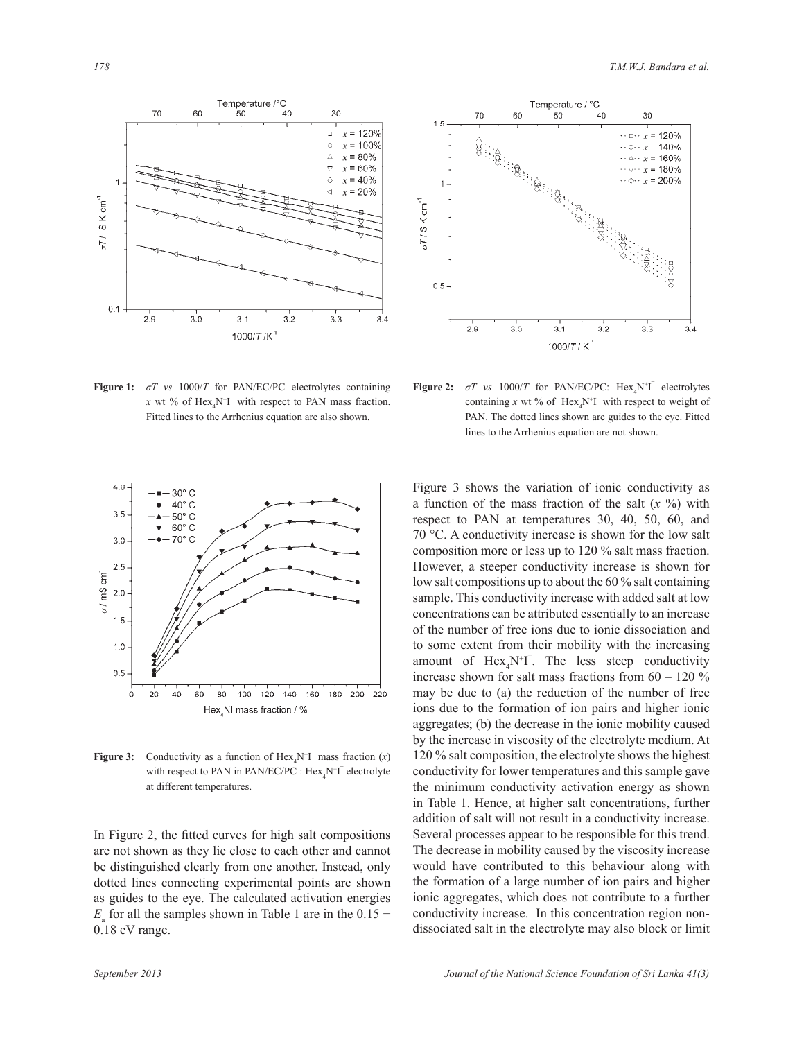

Temperature / °C 70 60  $40$ 30 50  $1.5$  $\cdots$  o  $\cdots$  x = 120%  $\cdots$   $\odot \cdots$  x = 140%  $\cdots \triangle \cdots x = 160\%$  $\cdots \triangledown \cdots x = 180\%$  $\cdots$   $x = 200\%$  $\sigma T$  / S K cm<sup>-1</sup>  $0.5$  $2.9$  $3.0$  $3.2$  $3.1$  $3.3$  $3.4$ 1000/T/K

**Figure 1:** *σT vs* 1000/*T* for PAN/EC/PC electrolytes containing *x* wt % of  $\text{Hex}_4\text{N}^+ \text{I}^-$  with respect to PAN mass fraction. Fitted lines to the Arrhenius equation are also shown.



**Figure 3:** Conductivity as a function of  $\text{Hex}_4\text{N}^+ \text{T}$  mass fraction (*x*) with respect to PAN in PAN/EC/PC :  $Hex_4N^{\dagger}I^{\dagger}$  electrolyte at different temperatures.

In Figure 2, the fitted curves for high salt compositions are not shown as they lie close to each other and cannot be distinguished clearly from one another. Instead, only dotted lines connecting experimental points are shown as guides to the eye. The calculated activation energies  $E$ <sub>a</sub> for all the samples shown in Table 1 are in the 0.15 − 0.18 eV range.

**Figure 2:**  $\sigma T$  *vs* 1000/*T* for PAN/EC/PC: Hex<sub>4</sub>N<sup>+</sup>I<sup>-</sup> electrolytes containing x wt % of  $\text{Hex}_4\text{N}^+ \text{I}^-$  with respect to weight of PAN. The dotted lines shown are guides to the eye. Fitted lines to the Arrhenius equation are not shown.

Figure 3 shows the variation of ionic conductivity as a function of the mass fraction of the salt (*x* %) with respect to PAN at temperatures 30, 40, 50, 60, and 70 °C. A conductivity increase is shown for the low salt composition more or less up to 120 % salt mass fraction. However, a steeper conductivity increase is shown for low salt compositions up to about the 60 % salt containing sample. This conductivity increase with added salt at low concentrations can be attributed essentially to an increase of the number of free ions due to ionic dissociation and to some extent from their mobility with the increasing amount of  $Hex_4N^+I$ . The less steep conductivity increase shown for salt mass fractions from  $60 - 120\%$ may be due to (a) the reduction of the number of free ions due to the formation of ion pairs and higher ionic aggregates; (b) the decrease in the ionic mobility caused by the increase in viscosity of the electrolyte medium. At 120 % salt composition, the electrolyte shows the highest conductivity for lower temperatures and this sample gave the minimum conductivity activation energy as shown in Table 1. Hence, at higher salt concentrations, further addition of salt will not result in a conductivity increase. Several processes appear to be responsible for this trend. The decrease in mobility caused by the viscosity increase would have contributed to this behaviour along with the formation of a large number of ion pairs and higher ionic aggregates, which does not contribute to a further conductivity increase. In this concentration region nondissociated salt in the electrolyte may also block or limit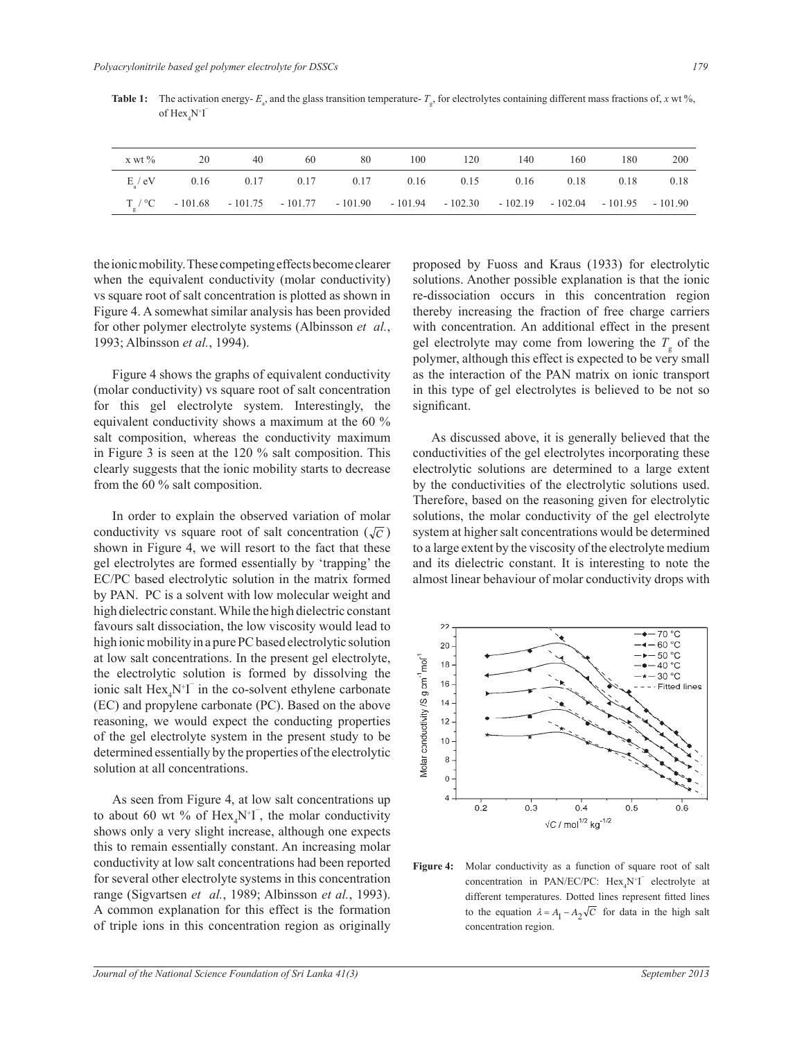|  |  | x wt % 20 40 60 80 100 120 140 160 180                                                                     |  |  | 200 |
|--|--|------------------------------------------------------------------------------------------------------------|--|--|-----|
|  |  | $E/eV$ 0.16 0.17 0.17 0.17 0.16 0.15 0.16 0.18 0.18 0.18                                                   |  |  |     |
|  |  | $T_{\circ}$ / °C - 101.68 - 101.75 - 101.77 - 101.90 - 101.94 - 102.30 - 102.19 - 102.04 - 101.95 - 101.90 |  |  |     |

**Table 1:** The activation energy-  $E_a$ , and the glass transition temperature-  $T_g$ , for electrolytes containing different mass fractions of, *x* wt %, of  $\text{Hex}_4\text{N}^+ \text{I}^-$ 

the ionic mobility. These competing effects become clearer when the equivalent conductivity (molar conductivity) vs square root of salt concentration is plotted as shown in Figure 4. A somewhat similar analysis has been provided for other polymer electrolyte systems (Albinsson *et al.*, 1993; Albinsson *et al.*, 1994).

 Figure 4 shows the graphs of equivalent conductivity (molar conductivity) vs square root of salt concentration for this gel electrolyte system. Interestingly, the equivalent conductivity shows a maximum at the 60 % salt composition, whereas the conductivity maximum in Figure 3 is seen at the 120 % salt composition. This clearly suggests that the ionic mobility starts to decrease from the 60 % salt composition.

 In order to explain the observed variation of molar conductivity vs square root of salt concentration  $(\sqrt{c})$ gel electrolytes are formed essentially by 'trapping' the high dielectric constant. While the high dielectric constant at low salt concentrations. In the present gel electrolyte, shown in Figure 4, we will resort to the fact that these EC/PC based electrolytic solution in the matrix formed by PAN. PC is a solvent with low molecular weight and favours salt dissociation, the low viscosity would lead to high ionic mobility in a pure PC based electrolytic solution the electrolytic solution is formed by dissolving the ionic salt  $\text{Hex}_4\text{N}^+ \text{I}^-$  in the co-solvent ethylene carbonate (EC) and propylene carbonate (PC). Based on the above reasoning, we would expect the conducting properties of the gel electrolyte system in the present study to be determined essentially by the properties of the electrolytic solution at all concentrations.

 As seen from Figure 4, at low salt concentrations up to about 60 wt % of  $\text{Hex}_4\text{N}^+$ , the molar conductivity shows only a very slight increase, although one expects this to remain essentially constant. An increasing molar conductivity at low salt concentrations had been reported for several other electrolyte systems in this concentration range (Sigvartsen *et al.*, 1989; Albinsson *et al.*, 1993). A common explanation for this effect is the formation of triple ions in this concentration region as originally

proposed by Fuoss and Kraus (1933) for electrolytic solutions. Another possible explanation is that the ionic re-dissociation occurs in this concentration region thereby increasing the fraction of free charge carriers with concentration. An additional effect in the present gel electrolyte may come from lowering the  $T_{\rm g}$  of the polymer, although this effect is expected to be very small as the interaction of the PAN matrix on ionic transport in this type of gel electrolytes is believed to be not so significant.

 As discussed above, it is generally believed that the conductivities of the gel electrolytes incorporating these electrolytic solutions are determined to a large extent by the conductivities of the electrolytic solutions used. Therefore, based on the reasoning given for electrolytic solutions, the molar conductivity of the gel electrolyte system at higher salt concentrations would be determined to a large extent by the viscosity of the electrolyte medium and its dielectric constant. It is interesting to note the almost linear behaviour of molar conductivity drops with



Figure 4: Molar conductivity as a function of square root of salt concentration in PAN/EC/PC:  $Hex_4N^{\dagger}I$  electrolyte at different temperatures. Dotted lines represent fitted lines to the equation  $\lambda = A_1 - A_2 \sqrt{C}$  for data in the high salt concentration region.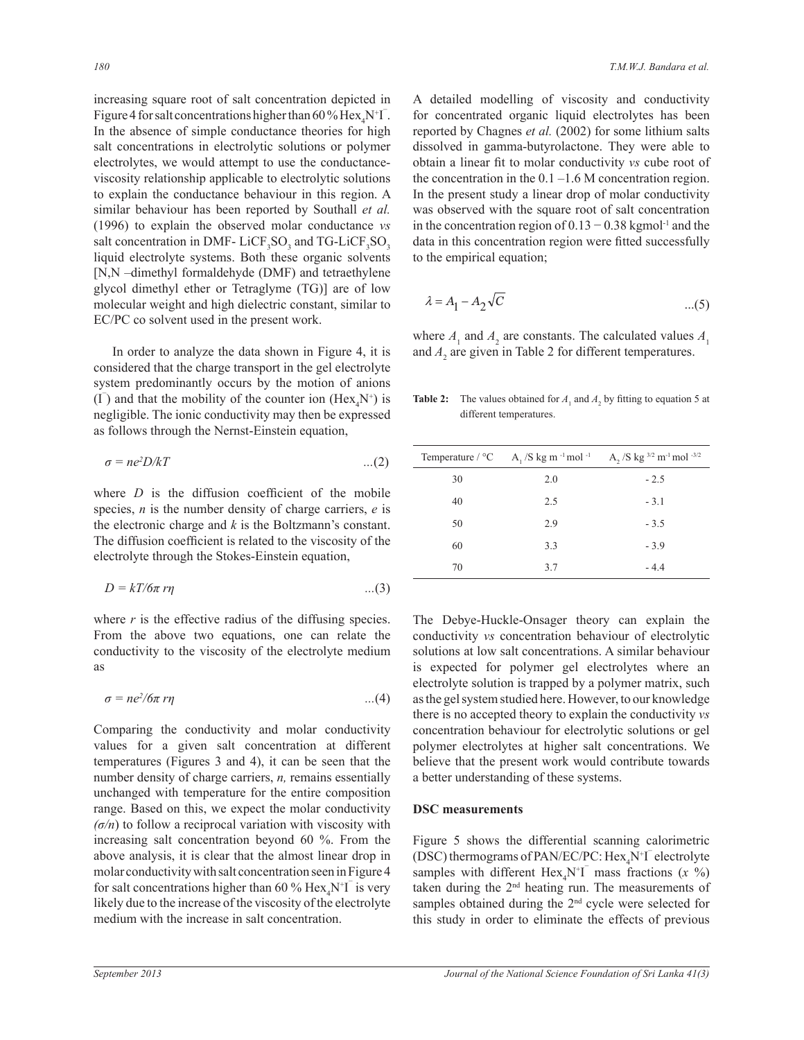increasing square root of salt concentration depicted in Figure 4 for salt concentrations higher than 60% Hex<sub>4</sub>N<sup>+</sup>I<sup>-</sup>. In the absence of simple conductance theories for high salt concentrations in electrolytic solutions or polymer electrolytes, we would attempt to use the conductanceviscosity relationship applicable to electrolytic solutions to explain the conductance behaviour in this region. A similar behaviour has been reported by Southall *et al.*  (1996) to explain the observed molar conductance *vs* salt concentration in DMF-LiCF<sub>3</sub>SO<sub>3</sub> and TG-LiCF<sub>3</sub>SO<sub>3</sub> liquid electrolyte systems. Both these organic solvents [N,N –dimethyl formaldehyde (DMF) and tetraethylene glycol dimethyl ether or Tetraglyme (TG)] are of low molecular weight and high dielectric constant, similar to EC/PC co solvent used in the present work.

 In order to analyze the data shown in Figure 4, it is considered that the charge transport in the gel electrolyte system predominantly occurs by the motion of anions  $(I)$  and that the mobility of the counter ion  $(Hex<sub>4</sub>N<sup>+</sup>)$  is negligible. The ionic conductivity may then be expressed as follows through the Nernst-Einstein equation,

$$
\sigma = ne^2 D/kT \tag{2}
$$

where *D* is the diffusion coefficient of the mobile species, *n* is the number density of charge carriers, *e* is the electronic charge and *k* is the Boltzmann's constant. The diffusion coefficient is related to the viscosity of the electrolyte through the Stokes-Einstein equation,

$$
D = kT/6\pi r\eta \qquad ...(3)
$$

where  $r$  is the effective radius of the diffusing species. From the above two equations, one can relate the conductivity to the viscosity of the electrolyte medium as

$$
\sigma = ne^2/\delta \pi \, r\eta \tag{4}
$$

Comparing the conductivity and molar conductivity values for a given salt concentration at different temperatures (Figures 3 and 4), it can be seen that the number density of charge carriers, *n,* remains essentially unchanged with temperature for the entire composition range. Based on this, we expect the molar conductivity *(σ/n*) to follow a reciprocal variation with viscosity with increasing salt concentration beyond 60 %. From the above analysis, it is clear that the almost linear drop in molar conductivity with salt concentration seen in Figure 4 for salt concentrations higher than 60 %  $\text{Hex}_4\text{N}^+ \text{I}^-$  is very likely due to the increase of the viscosity of the electrolyte medium with the increase in salt concentration.

A detailed modelling of viscosity and conductivity for concentrated organic liquid electrolytes has been reported by Chagnes *et al.* (2002) for some lithium salts dissolved in gamma-butyrolactone. They were able to obtain a linear fit to molar conductivity *vs* cube root of the concentration in the  $0.1 - 1.6$  M concentration region. In the present study a linear drop of molar conductivity was observed with the square root of salt concentration in the concentration region of  $0.13 - 0.38$  kgmol<sup>-1</sup> and the data in this concentration region were fitted successfully to the empirical equation;

$$
\lambda = A_1 - A_2 \sqrt{C} \tag{5}
$$

and  $A_2$  are given in Table 2 for different temperatures. where  $A_1$  and  $A_2$  are constants. The calculated values  $A_1$ 

Table 2: **Table 2:** The values obtained for  $A_1$  and  $A_2$  by fitting to equation 5 at different temperatures.

|    |     | Temperature / $^{\circ}$ C A <sub>1</sub> /S kg m <sup>-1</sup> mol <sup>-1</sup> A <sub>2</sub> /S kg <sup>3/2</sup> m <sup>-1</sup> mol <sup>-3/2</sup> |
|----|-----|-----------------------------------------------------------------------------------------------------------------------------------------------------------|
| 30 | 2.0 | $-2.5$                                                                                                                                                    |
| 40 | 2.5 | $-3.1$                                                                                                                                                    |
| 50 | 2.9 | $-3.5$                                                                                                                                                    |
| 60 | 3.3 | $-3.9$                                                                                                                                                    |
| 70 | 3.7 | $-4.4$                                                                                                                                                    |

The Debye-Huckle-Onsager theory can explain the conductivity *vs* concentration behaviour of electrolytic solutions at low salt concentrations. A similar behaviour is expected for polymer gel electrolytes where an electrolyte solution is trapped by a polymer matrix, such as the gel system studied here. However, to our knowledge there is no accepted theory to explain the conductivity *vs* concentration behaviour for electrolytic solutions or gel polymer electrolytes at higher salt concentrations. We believe that the present work would contribute towards a better understanding of these systems.

## **DSC measurements**

Figure 5 shows the differential scanning calorimetric (DSC) thermograms of PAN/EC/PC:  $Hex_4N^+I^-$  electrolyte samples with different  $Hex_4N^+I$ <sup>-</sup> mass fractions  $(x \%)$ taken during the 2nd heating run. The measurements of samples obtained during the 2<sup>nd</sup> cycle were selected for this study in order to eliminate the effects of previous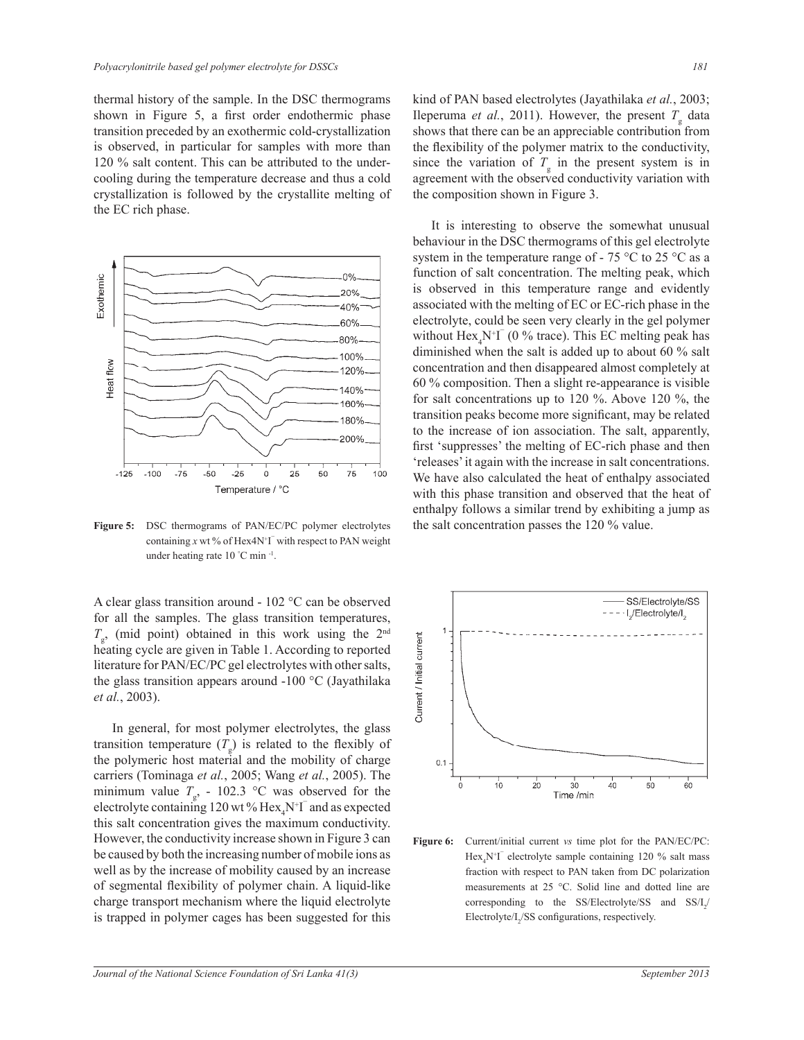thermal history of the sample. In the DSC thermograms shown in Figure 5, a first order endothermic phase transition preceded by an exothermic cold-crystallization is observed, in particular for samples with more than 120 % salt content. This can be attributed to the undercooling during the temperature decrease and thus a cold crystallization is followed by the crystallite melting of the EC rich phase.



containing  $x$  wt % of Hex4N<sup>+</sup>I<sup> $\bar{ }$ </sup> with respect to PAN weight under heating rate 10 °C min -1 .

A clear glass transition around - 102 °C can be observed for all the samples. The glass transition temperatures,  $T_{\rm g}$ , (mid point) obtained in this work using the 2<sup>nd</sup> heating cycle are given in Table 1. According to reported literature for PAN/EC/PC gel electrolytes with other salts, the glass transition appears around -100 °C (Jayathilaka *et al.*, 2003).

 In general, for most polymer electrolytes, the glass transition temperature  $(T_g)$  is related to the flexibly of the polymeric host material and the mobility of charge carriers (Tominaga *et al.*, 2005; Wang *et al.*, 2005). The minimum value  $T_{\rm g}$ , - 102.3 °C was observed for the electrolyte containing 120 wt %  $\text{Hex}_4\text{N}^+ \text{I}^-$  and as expected this salt concentration gives the maximum conductivity. However, the conductivity increase shown in Figure 3 can be caused by both the increasing number of mobile ions as well as by the increase of mobility caused by an increase of segmental flexibility of polymer chain. A liquid-like charge transport mechanism where the liquid electrolyte is trapped in polymer cages has been suggested for this

kind of PAN based electrolytes (Jayathilaka *et al.*, 2003; Ileperuma *et al.*, 2011). However, the present  $T_{\rm g}$  data shows that there can be an appreciable contribution from the flexibility of the polymer matrix to the conductivity, since the variation of  $T<sub>g</sub>$  in the present system is in agreement with the observed conductivity variation with the composition shown in Figure 3.

 It is interesting to observe the somewhat unusual behaviour in the DSC thermograms of this gel electrolyte system in the temperature range of - 75  $\degree$ C to 25  $\degree$ C as a function of salt concentration. The melting peak, which is observed in this temperature range and evidently associated with the melting of EC or EC-rich phase in the electrolyte, could be seen very clearly in the gel polymer without  $\text{Hex}_4\text{N}^+ \text{I}^-$  (0 % trace). This EC melting peak has diminished when the salt is added up to about 60 % salt concentration and then disappeared almost completely at 60 % composition. Then a slight re-appearance is visible for salt concentrations up to 120 %. Above 120 %, the transition peaks become more significant, may be related to the increase of ion association. The salt, apparently, first 'suppresses' the melting of EC-rich phase and then 'releases' it again with the increase in salt concentrations. We have also calculated the heat of enthalpy associated with this phase transition and observed that the heat of enthalpy follows a similar trend by exhibiting a jump as Figure 5: DSC thermograms of PAN/EC/PC polymer electrolytes the salt concentration passes the 120 % value.



**Figure 6:** Current/initial current *vs* time plot for the PAN/EC/PC:  $\text{Hex}_4\text{N}^{\text{+}}\text{I}$  electrolyte sample containing 120 % salt mass fraction with respect to PAN taken from DC polarization measurements at 25 °C. Solid line and dotted line are corresponding to the SS/Electrolyte/SS and  $SS/I_2/$ Electrolyte/ $I_2$ /SS configurations, respectively.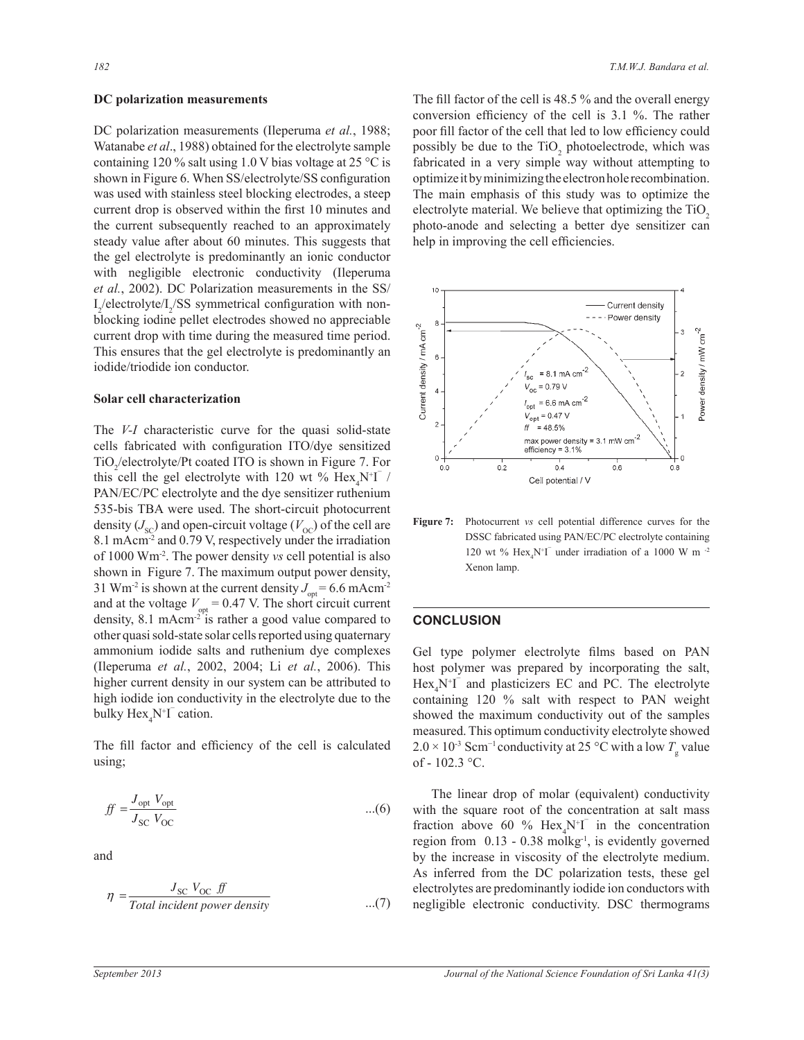#### **DC polarization measurements**

DC polarization measurements (Ileperuma *et al.*, 1988; Watanabe *et al*., 1988) obtained for the electrolyte sample containing 120 % salt using 1.0 V bias voltage at 25  $\degree$ C is shown in Figure 6. When SS/electrolyte/SS configuration was used with stainless steel blocking electrodes, a steep current drop is observed within the first 10 minutes and the current subsequently reached to an approximately steady value after about 60 minutes. This suggests that the gel electrolyte is predominantly an ionic conductor with negligible electronic conductivity (Ileperuma *et al.*, 2002). DC Polarization measurements in the SS/  $I_2$ /electrolyte/ $I_2$ /SS symmetrical configuration with nonblocking iodine pellet electrodes showed no appreciable current drop with time during the measured time period. This ensures that the gel electrolyte is predominantly an iodide/triodide ion conductor.

#### **Solar cell characterization**

The *V-I* characteristic curve for the quasi solid-state cells fabricated with configuration ITO/dye sensitized  $TiO_2$ /electrolyte/Pt coated ITO is shown in Figure 7. For this cell the gel electrolyte with 120 wt %  $\text{Hex}_4\text{N}^+$  / PAN/EC/PC electrolyte and the dye sensitizer ruthenium 535-bis TBA were used. The short-circuit photocurrent density  $(J_{\rm sc})$  and open-circuit voltage ( $V_{\rm oc}$ ) of the cell are 8.1 mAcm<sup>-2</sup> and 0.79 V, respectively under the irradiation of 1000 Wm-2. The power density *vs* cell potential is also shown in Figure 7. The maximum output power density, 31 Wm<sup>-2</sup> is shown at the current density  $J_{opt} = 6.6$  mAcm<sup>-2</sup> and at the voltage  $V_{opt} = 0.47$  V. The short circuit current density, 8.1 mAcm<sup>-2 $\overline{r}$ </sup> is rather a good value compared to other quasi sold-state solar cells reported using quaternary ammonium iodide salts and ruthenium dye complexes (Ileperuma *et al.*, 2002, 2004; Li *et al.*, 2006). This higher current density in our system can be attributed to high iodide ion conductivity in the electrolyte due to the bulky  $\text{Hex}_4\text{N}^{\dagger} \Gamma$  cation.

The fill factor and efficiency of the cell is calculated using; L  $\mathcal{L}$ 

$$
f f = \frac{J_{\text{opt}} V_{\text{opt}}}{J_{\text{SC}} V_{\text{OC}}} \tag{6}
$$

and

$$
\eta = \frac{J_{\rm SC} V_{\rm OC} \; ff}{Total\ incident\ power\ density} \quad ...(7)
$$

The fill factor of the cell is 48.5 % and the overall energy conversion efficiency of the cell is 3.1 %. The rather poor fill factor of the cell that led to low efficiency could possibly be due to the  $TiO<sub>2</sub>$  photoelectrode, which was fabricated in a very simple way without attempting to optimize it by minimizing the electron hole recombination. The main emphasis of this study was to optimize the electrolyte material. We believe that optimizing the TiO<sub>2</sub> photo-anode and selecting a better dye sensitizer can help in improving the cell efficiencies.



**Figure 7:** Photocurrent *vs* cell potential difference curves for the DSSC fabricated using PAN/EC/PC electrolyte containing 120 wt %  $\text{Hex}_4\text{N}^+ \text{I}^-$  under irradiation of a 1000 W m  $^{-2}$ Xenon lamp.

## **CONCLUSION**

Gel type polymer electrolyte films based on PAN host polymer was prepared by incorporating the salt,  $Hex<sub>4</sub>N<sup>+</sup>T$  and plasticizers EC and PC. The electrolyte containing 120 % salt with respect to PAN weight showed the maximum conductivity out of the samples measured. This optimum conductivity electrolyte showed  $2.0 \times 10^{-3}$  Scm<sup>-1</sup> conductivity at 25 °C with a low  $T_{\rm g}$  value of - 102.3 °C.

 The linear drop of molar (equivalent) conductivity with the square root of the concentration at salt mass fraction above 60 %  $Hex_4N^+I$  in the concentration region from  $0.13 - 0.38$  molkg<sup>-1</sup>, is evidently governed by the increase in viscosity of the electrolyte medium. As inferred from the DC polarization tests, these gel electrolytes are predominantly iodide ion conductors with negligible electronic conductivity. DSC thermograms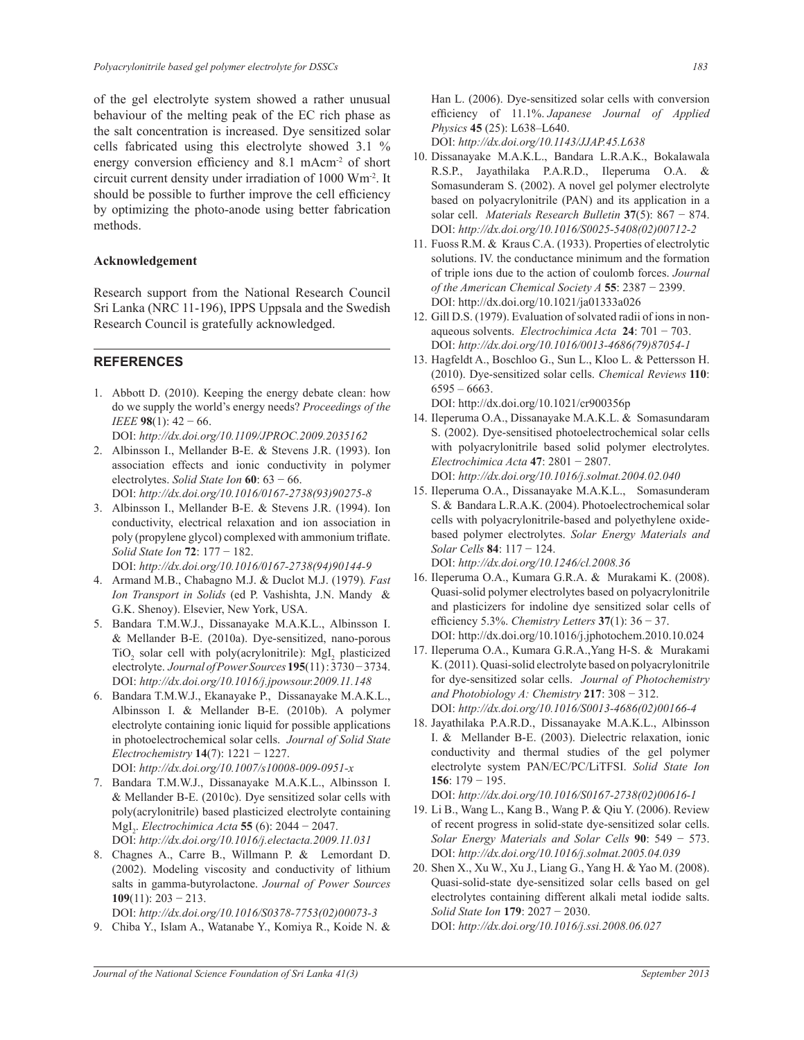of the gel electrolyte system showed a rather unusual behaviour of the melting peak of the EC rich phase as the salt concentration is increased. Dye sensitized solar cells fabricated using this electrolyte showed 3.1 % energy conversion efficiency and 8.1 mAcm<sup>-2</sup> of short circuit current density under irradiation of 1000 Wm-2. It should be possible to further improve the cell efficiency by optimizing the photo-anode using better fabrication methods.

## **Acknowledgement**

Research support from the National Research Council Sri Lanka (NRC 11-196), IPPS Uppsala and the Swedish Research Council is gratefully acknowledged.

## **REFERENCES**

- 1. Abbott D. (2010). Keeping the energy debate clean: how do we supply the world's energy needs? *Proceedings of the IEEE* **98**(1): 42 − 66.
- DOI: *http://dx.doi.org/10.1109/JPROC.2009.2035162* 2. Albinsson I., Mellander B-E. & Stevens J.R. (1993). Ion association effects and ionic conductivity in polymer electrolytes. *Solid State Ion* **60**: 63 − 66. DOI: *http://dx.doi.org/10.1016/0167-2738(93)90275-8*
- 3. Albinsson I., Mellander B-E. & Stevens J.R. (1994). Ion conductivity, electrical relaxation and ion association in poly (propylene glycol) complexed with ammonium triflate. *Solid State Ion* **72**: 177 − 182.

DOI: *http://dx.doi.org/10.1016/0167-2738(94)90144-9* 

- 4. Armand M.B., Chabagno M.J. & Duclot M.J. (1979)*. Fast Ion Transport in Solids* (ed P. Vashishta, J.N. Mandy & G.K. Shenoy). Elsevier, New York, USA.
- 5. Bandara T.M.W.J., Dissanayake M.A.K.L., Albinsson I. & Mellander B-E. (2010a). Dye-sensitized, nano-porous  $TiO<sub>2</sub>$  solar cell with poly(acrylonitrile): MgI<sub>2</sub> plasticized electrolyte. *Journal of Power Sources***195**(11) : 3730 − 3734. DOI: *http://dx.doi.org/10.1016/j.jpowsour.2009.11.148*
- 6. Bandara T.M.W.J., Ekanayake P., Dissanayake M.A.K.L., Albinsson I. & Mellander B-E. (2010b). A polymer electrolyte containing ionic liquid for possible applications in photoelectrochemical solar cells. *Journal of Solid State Electrochemistry* **14**(7): 1221 − 1227. DOI: *http://dx.doi.org/10.1007/s10008-009-0951-x*

7. Bandara T.M.W.J., Dissanayake M.A.K.L., Albinsson I. & Mellander B-E. (2010c). Dye sensitized solar cells with poly(acrylonitrile) based plasticized electrolyte containing MgI<sup>2</sup> . *Electrochimica Acta* **55** (6): 2044 − 2047.

DOI: *http://dx.doi.org/10.1016/j.electacta.2009.11.031*

8. Chagnes A., Carre B., Willmann P. & Lemordant D. (2002). Modeling viscosity and conductivity of lithium salts in gamma-butyrolactone. *Journal of Power Sources* **109**(11): 203 − 213.

DOI: *http://dx.doi.org/10.1016/S0378-7753(02)00073-3*

9. Chiba Y., Islam A., Watanabe Y., Komiya R., Koide N. &

Han L. (2006). Dye-sensitized solar cells with conversion efficiency of 11.1%. *Japanese Journal of Applied Physics* **45** (25): L638–L640.

DOI: *http://dx.doi.org/10.1143/JJAP.45.L638*

- 10. Dissanayake M.A.K.L., Bandara L.R.A.K., Bokalawala R.S.P., Jayathilaka P.A.R.D., Ileperuma O.A. & Somasunderam S. (2002). A novel gel polymer electrolyte based on polyacrylonitrile (PAN) and its application in a solar cell. *Materials Research Bulletin* **37**(5): 867 − 874. DOI: *http://dx.doi.org/10.1016/S0025-5408(02)00712-2*
- 11. Fuoss R.M. & Kraus C.A. (1933). Properties of electrolytic solutions. IV. the conductance minimum and the formation of triple ions due to the action of coulomb forces. *Journal of the American Chemical Society A* **55**: 2387 − 2399. DOI: http://dx.doi.org/10.1021/ja01333a026
- 12. Gill D.S. (1979). Evaluation of solvated radii of ions in nonaqueous solvents. *Electrochimica Acta* **24**: 701 − 703. DOI: *http://dx.doi.org/10.1016/0013-4686(79)87054-1*
- 13. Hagfeldt A., Boschloo G., Sun L., Kloo L. & Pettersson H. (2010). Dye-sensitized solar cells. *Chemical Reviews* **110**:  $6595 - 6663$ .

DOI: http://dx.doi.org/10.1021/cr900356p

- 14. Ileperuma O.A., Dissanayake M.A.K.L. & Somasundaram S. (2002). Dye-sensitised photoelectrochemical solar cells with polyacrylonitrile based solid polymer electrolytes. *Electrochimica Acta* **47**: 2801 − 2807. DOI: *http://dx.doi.org/10.1016/j.solmat.2004.02.040*
- 15. Ileperuma O.A., Dissanayake M.A.K.L., Somasunderam S. & Bandara L.R.A.K. (2004). Photoelectrochemical solar cells with polyacrylonitrile-based and polyethylene oxidebased polymer electrolytes. *Solar Energy Materials and Solar Cells* **84**: 117 − 124. DOI: *http://dx.doi.org/10.1246/cl.2008.36*
- 16. Ileperuma O.A., Kumara G.R.A. & Murakami K. (2008). Quasi-solid polymer electrolytes based on polyacrylonitrile and plasticizers for indoline dye sensitized solar cells of efficiency 5.3%. *Chemistry Letters* **37**(1): 36 − 37. DOI: http://dx.doi.org/10.1016/j.jphotochem.2010.10.024
- 17. Ileperuma O.A., Kumara G.R.A.,Yang H-S. & Murakami K. (2011). Quasi-solid electrolyte based on polyacrylonitrile for dye-sensitized solar cells. *Journal of Photochemistry and Photobiology A: Chemistry* **217**: 308 − 312. DOI: *http://dx.doi.org/10.1016/S0013-4686(02)00166-4*
- 18. Jayathilaka P.A.R.D., Dissanayake M.A.K.L., Albinsson I. & Mellander B-E. (2003). Dielectric relaxation, ionic conductivity and thermal studies of the gel polymer electrolyte system PAN/EC/PC/LiTFSI. *Solid State Ion*  **156**: 179 − 195.

DOI: *http://dx.doi.org/10.1016/S0167-2738(02)00616-1*

- 19. Li B., Wang L., Kang B., Wang P. & Qiu Y. (2006). Review of recent progress in solid-state dye-sensitized solar cells. *Solar Energy Materials and Solar Cells* **90**: 549 − 573. DOI: *http://dx.doi.org/10.1016/j.solmat.2005.04.039*
- 20. Shen X., Xu W., Xu J., Liang G., Yang H. & Yao M. (2008). Quasi-solid-state dye-sensitized solar cells based on gel electrolytes containing different alkali metal iodide salts. *Solid State Ion* **179**: 2027 − 2030. DOI: *http://dx.doi.org/10.1016/j.ssi.2008.06.027*